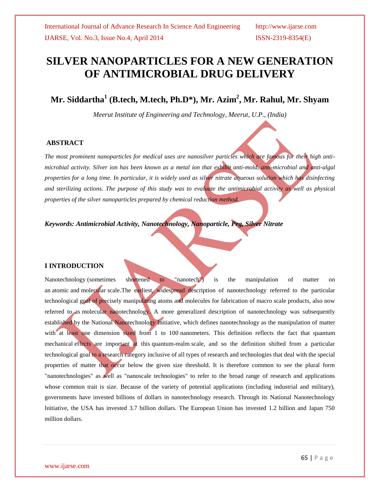# **SILVER NANOPARTICLES FOR A NEW GENERATION OF ANTIMICROBIAL DRUG DELIVERY**

**Mr. Siddartha<sup>1</sup> (B.tech, M.tech, Ph.D\*), Mr. Azim<sup>2</sup> , Mr. Rahul, Mr. Shyam**

*Meerut Institute of Engineering and Technology, Meerut, U.P., (India)*

#### **ABSTRACT**

*The most prominent nanoparticles for medical uses are nanosilver particles which are famous for their high antimicrobial activity. Silver ion has been known as a metal ion that exhibit anti-mold, anti-microbial and anti-algal properties for a long time. In particular, it is widely used as silver nitrate aqueous solution which has disinfecting*  and sterilizing actions. The purpose of this study was to evaluate the antimicrobial activity as well as physical *properties of the silver nanoparticles prepared by chemical reduction method.*

*Keywords: Antimicrobial Activity, Nanotechnology, Nanoparticle, Peg, Silver Nitrate*

#### **I INTRODUCTION**

Nanotechnology (sometimes shortened to "nanotech") is the manipulation of matter on an atomic and [molecular](http://en.wikipedia.org/wiki/Molecular) scale.The earliest, widespread description of nanotechnology referred to the particular technological goal of precisely manipulating atoms and molecules for fabrication of macro scale products, also now referred to as [molecular nanotechnology.](http://en.wikipedia.org/wiki/Molecular_nanotechnology) A more generalized description of nanotechnology was subsequently established by the [National Nanotechnology Initiative,](http://en.wikipedia.org/wiki/National_Nanotechnology_Initiative) which defines nanotechnology as the manipulation of matter with at least one dimension sized from 1 to 100 [nanometers.](http://en.wikipedia.org/wiki/Nanometers) This definition reflects the fact that quantum [mechanical](http://en.wikipedia.org/wiki/Quantum_mechanics) effects are important at this [quantum-realm](http://en.wikipedia.org/wiki/Quantum_realm) scale, and so the definition shifted from a particular technological goal to a research category inclusive of all types of research and technologies that deal with the special properties of matter that occur below the given size threshold. It is therefore common to see the plural form "nanotechnologies" as well as "nanoscale technologies" to refer to the broad range of research and applications whose common trait is size. Because of the variety of potential applications (including industrial and military), governments have invested billions of dollars in nanotechnology research. Through its National Nanotechnology Initiative, the USA has invested 3.7 billion dollars. The European Union has invested 1.2 billion and Japan 750 million dollars.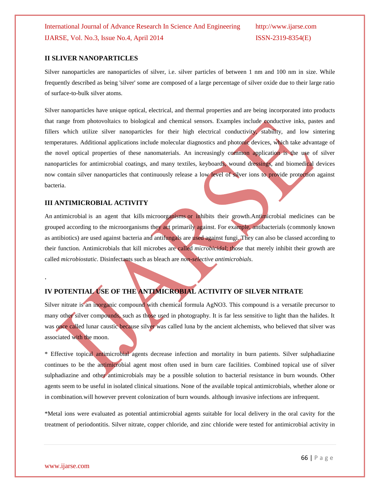#### **II SLIVER NANOPARTICLES**

Silver nanoparticles are nanoparticles of silver, i.e. silver particles of between 1 nm and 100 nm in size. While frequently described as being 'silver' some are composed of a large percentage of silver oxide due to their large ratio of surface-to-bulk silver atoms.

Silver nanoparticles have unique optical, electrical, and thermal properties and are being incorporated into products that range from photovoltaics to biological and chemical sensors. Examples include conductive inks, pastes and fillers which utilize silver nanoparticles for their high electrical conductivity, stability, and low sintering temperatures. Additional applications include molecular diagnostics and photonic devices, which take advantage of the novel optical properties of these nanomaterials. An increasingly common application is the use of silver nanoparticles for antimicrobial coatings, and many textiles, keyboards, wound dressings, and biomedical devices now contain silver nanoparticles that continuously release a low level of silver ions to provide protection against bacteria.

#### **III ANTIMICROBIAL ACTIVITY**

An antimicrobial is an agent that kills [microorganisms](http://en.wikipedia.org/wiki/Microorganism) or inhibits their growth.Antimicrobial medicines can be grouped according to the microorganisms they act primarily against. For example, antibacterials (commonly known as antibiotics) are used against [bacteria](http://en.wikipedia.org/wiki/Bacteria) and antifungals are used against [fungi.](http://en.wikipedia.org/wiki/Fungi) They can also be classed according to their function. Antimicrobials that kill microbes are called *microbicidal*; those that merely inhibit their growth are called *microbiostatic*. [Disinfectants](http://en.wikipedia.org/wiki/Disinfectant) such as [bleach](http://en.wikipedia.org/wiki/Bleach) are *non-selective antimicrobials*.

### **IV POTENTIAL USE OF THE ANTIMICROBIAL ACTIVITY OF SILVER NITRATE**

Silver nitrate is an inorganic compound with chemical formula AgNO3. This compound is a versatile precursor to many other silver compounds, such as those used in photography. It is far less sensitive to light than the halides. It was once called lunar caustic because silver was called luna by the ancient alchemists, who believed that silver was associated with the moon.

\* Effective topical antimicrobial agents decrease infection and mortality in burn patients. Silver sulphadiazine continues to be the antimicrobial agent most often used in burn care facilities. Combined topical use of silver sulphadiazine and other antimicrobials may be a possible solution to bacterial resistance in burn wounds. Other agents seem to be useful in isolated clinical situations. None of the available topical antimicrobials, whether alone or in combination.will however prevent colonization of burn wounds. although invasive infections are infrequent.

\*Metal ions were evaluated as potential antimicrobial agents suitable for local delivery in the oral cavity for the treatment of periodontitis. Silver nitrate, copper chloride, and zinc chloride were tested for antimicrobial activity in

.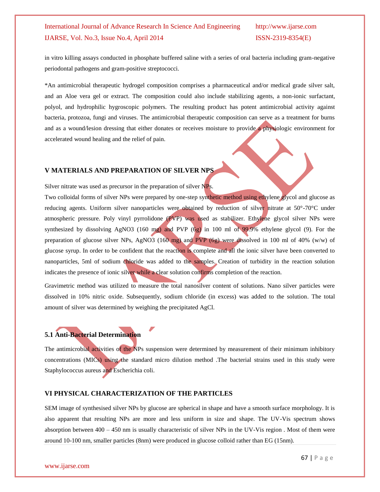in vitro killing assays conducted in phosphate buffered saline with a series of oral bacteria including gram-negative periodontal pathogens and gram-positive streptococci.

\*An antimicrobial therapeutic hydrogel composition comprises a pharmaceutical and/or medical grade silver salt, and an Aloe vera gel or extract. The composition could also include stabilizing agents, a non-ionic surfactant, polyol, and hydrophilic hygroscopic polymers. The resulting product has potent antimicrobial activity against bacteria, protozoa, fungi and viruses. The antimicrobial therapeutic composition can serve as a treatment for burns and as a wound/lesion dressing that either donates or receives moisture to provide a physiologic environment for accelerated wound healing and the relief of pain.

### **V MATERIALS AND PREPARATION OF SILVER NPS**

Silver nitrate was used as precursor in the preparation of silver NPs.

Two colloidal forms of silver NPs were prepared by one-step synthetic method using ethylene glycol and glucose as reducing agents. Uniform silver nanoparticles were obtained by reduction of silver nitrate at 50°-70°C under atmospheric pressure. Poly vinyl pyrrolidone (PVP) was used as stabilizer. Ethylene glycol silver NPs were synthesized by dissolving AgNO3 (160 mg) and PVP (6g) in 100 ml of 99.9% ethylene glycol (9). For the preparation of glucose silver NPs, AgNO3 (160 mg) and PVP (6g) were dissolved in 100 ml of 40% (w/w) of glucose syrup. In order to be confident that the reaction is complete and all the ionic silver have been converted to nanoparticles, 5ml of sodium chloride was added to the samples. Creation of turbidity in the reaction solution indicates the presence of ionic silver while a clear solution confirms completion of the reaction.

Gravimetric method was utilized to measure the total nanosilver content of solutions. Nano silver particles were dissolved in 10% nitric oxide. Subsequently, sodium chloride (in excess) was added to the solution. The total amount of silver was determined by weighing the precipitated AgCl.

## **5.1 Anti-Bacterial Determination**

The antimicrobial activities of the NPs suspension were determined by measurement of their minimum inhibitory concentrations (MICs) using the standard micro dilution method .The bacterial strains used in this study were Staphylococcus aureus and Escherichia coli.

#### **VI PHYSICAL CHARACTERIZATION OF THE PARTICLES**

SEM image of synthesised silver NPs by glucose are spherical in shape and have a smooth surface morphology. It is also apparent that resulting NPs are more and less uniform in size and shape. The UV-Vis spectrum shows absorption between 400 – 450 nm is usually characteristic of silver NPs in the UV-Vis region . Most of them were around 10-100 nm, smaller particles (8nm) were produced in glucose colloid rather than EG (15nm).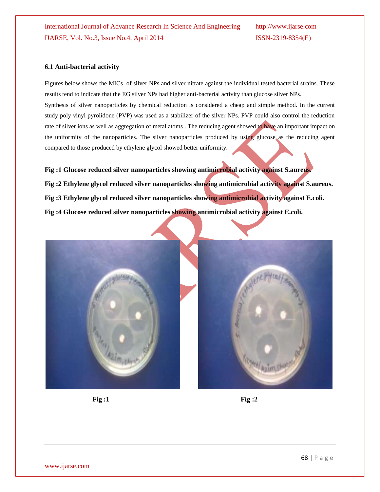#### **6.1 Anti-bacterial activity**

Figures below shows the MICs of silver NPs and silver nitrate against the individual tested bacterial strains. These results tend to indicate that the EG silver NPs had higher anti-bacterial activity than glucose silver NPs. Synthesis of silver nanoparticles by chemical reduction is considered a cheap and simple method. In the current study poly vinyl pyrolidone (PVP) was used as a stabilizer of the silver NPs. PVP could also control the reduction rate of silver ions as well as aggregation of metal atoms. The reducing agent showed to have an important impact on the uniformity of the nanoparticles. The silver nanoparticles produced by using glucose as the reducing agent compared to those produced by ethylene glycol showed better uniformity.

**Fig :1 Glucose reduced silver nanoparticles showing antimicrobial activity against S.aureus. Fig :2 Ethylene glycol reduced silver nanoparticles showing antimicrobial activity against S.aureus. Fig :3 Ethylene glycol reduced silver nanoparticles showing antimicrobial activity against E.coli. Fig :4 Glucose reduced silver nanoparticles showing antimicrobial activity against E.coli.**







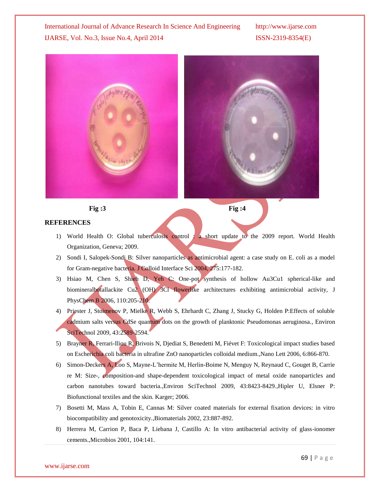





#### **REFERENCES**

- 1) World Health O: Global tuberculosis control : a short update to the 2009 report. World Health Organization, Geneva; 2009.
- 2) Sondi I, Salopek-Sondi B: Silver nanoparticles as antimicrobial agent: a case study on E. coli as a model for Gram-negative bacteria. J Colloid Interface Sci 2004, 275:177-182.
- 3) Hsiao M, Chen S, Shieh D, Yeh C: One-pot synthesis of hollow Au3Cu1 spherical-like and biomineralbotallackite Cu2 (OH) 3Cl flowerlike architectures exhibiting antimicrobial activity, J PhysChem B 2006, 110:205-210.
- 4) Priester J, Stoimenov P, Mielke R, Webb S, Ehrhardt C, Zhang J, Stucky G, Holden P: Effects of soluble cadmium salts versus CdSe quantum dots on the growth of planktonic Pseudomonas aeruginosa., Environ SciTechnol 2009, 43:2589-2594.
- 5) Brayner R, Ferrari-Iliou R, Brivois N, Djediat S, Benedetti M, Fiévet F: Toxicological impact studies based on Escherichia coli bacteria in ultrafine ZnO nanoparticles colloidal medium.,Nano Lett 2006, 6:866-870.
- 6) Simon-Deckers A, Loo S, Mayne-L'hermite M, Herlin-Boime N, Menguy N, Reynaud C, Gouget B, Carrie re M: Size-, composition-and shape-dependent toxicological impact of metal oxide nanoparticles and carbon nanotubes toward bacteria.,Environ SciTechnol 2009, 43:8423-8429.,Hipler U, Elsner P: Biofunctional textiles and the skin. Karger; 2006.
- 7) Bosetti M, Mass A, Tobin E, Cannas M: Silver coated materials for external fixation devices: in vitro biocompatibility and genotoxicity.,Biomaterials 2002, 23:887-892.
- 8) Herrera M, Carrion P, Baca P, Liebana J, Castillo A: In vitro antibacterial activity of glass-ionomer cements.,Microbios 2001, 104:141.